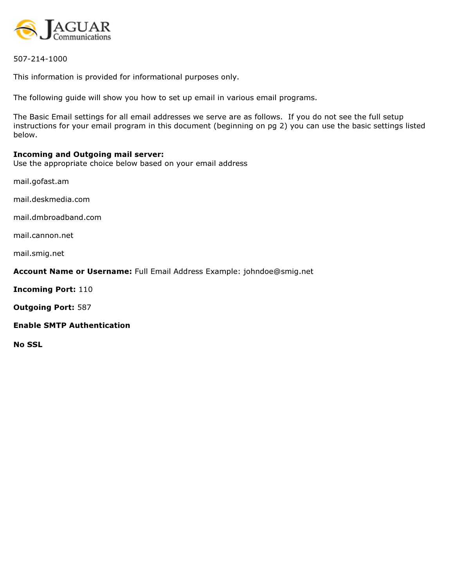

507-214-1000

This information is provided for informational purposes only.

The following guide will show you how to set up email in various email programs.

The Basic Email settings for all email addresses we serve are as follows. If you do not see the full setup instructions for your email program in this document (beginning on pg 2) you can use the basic settings listed below.

#### Incoming and Outgoing mail server:

Use the appropriate choice below based on your email address

mail.gofast.am

mail.deskmedia.com

mail.dmbroadband.com

mail.cannon.net

mail.smig.net

## Account Name or Username: Full Email Address Example: johndoe@smig.net

Incoming Port: 110

Outgoing Port: 587

#### Enable SMTP Authentication

No SSL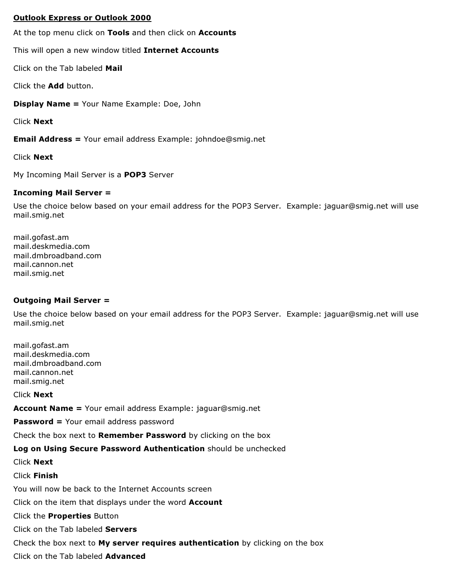## Outlook Express or Outlook 2000

At the top menu click on Tools and then click on Accounts

This will open a new window titled Internet Accounts

Click on the Tab labeled Mail

Click the Add button.

Display Name = Your Name Example: Doe, John

Click Next

Email Address = Your email address Example: johndoe@smig.net

Click Next

My Incoming Mail Server is a POP3 Server

# Incoming Mail Server =

Use the choice below based on your email address for the POP3 Server. Example: jaguar@smig.net will use mail.smig.net

mail.gofast.am mail.deskmedia.com mail.dmbroadband.com mail.cannon.net mail.smig.net

## Outgoing Mail Server =

Use the choice below based on your email address for the POP3 Server. Example: jaguar@smig.net will use mail.smig.net

mail.gofast.am mail.deskmedia.com mail.dmbroadband.com mail.cannon.net mail.smig.net

Click Next

Account Name = Your email address Example: jaguar@smig.net

Password = Your email address password

Check the box next to Remember Password by clicking on the box

Log on Using Secure Password Authentication should be unchecked

Click Next

Click Finish

You will now be back to the Internet Accounts screen

Click on the item that displays under the word Account

Click the Properties Button

Click on the Tab labeled Servers

Check the box next to My server requires authentication by clicking on the box

Click on the Tab labeled Advanced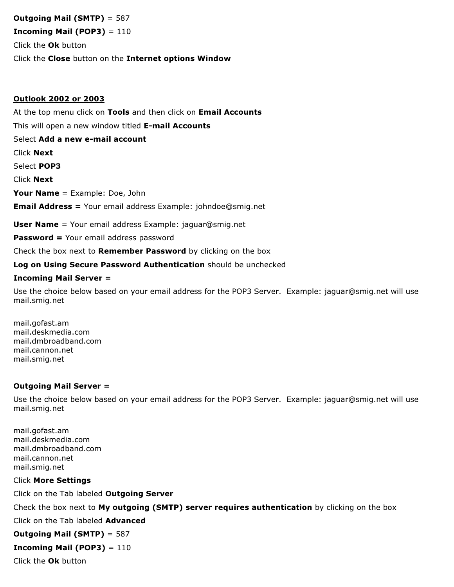# Outgoing Mail (SMTP) = 587

**Incoming Mail (POP3)**  $= 110$ 

Click the Ok button

Click the Close button on the Internet options Window

## Outlook 2002 or 2003

At the top menu click on Tools and then click on Email Accounts This will open a new window titled E-mail Accounts Select Add a new e-mail account Click Next Select POP3 Click Next Your Name = Example: Doe, John Email Address = Your email address Example: johndoe@smig.net User Name = Your email address Example: jaguar@smig.net Password = Your email address password

Check the box next to **Remember Password** by clicking on the box

Log on Using Secure Password Authentication should be unchecked

## Incoming Mail Server =

Use the choice below based on your email address for the POP3 Server. Example: jaguar@smig.net will use mail.smig.net

mail.gofast.am mail.deskmedia.com mail.dmbroadband.com mail.cannon.net mail.smig.net

## Outgoing Mail Server =

Use the choice below based on your email address for the POP3 Server. Example: jaguar@smig.net will use mail.smig.net

mail.gofast.am mail.deskmedia.com mail.dmbroadband.com mail.cannon.net mail.smig.net

## Click More Settings

Click on the Tab labeled Outgoing Server

Check the box next to My outgoing (SMTP) server requires authentication by clicking on the box

Click on the Tab labeled **Advanced** 

Outgoing Mail (SMTP) = 587

**Incoming Mail (POP3)** =  $110$ 

Click the Ok button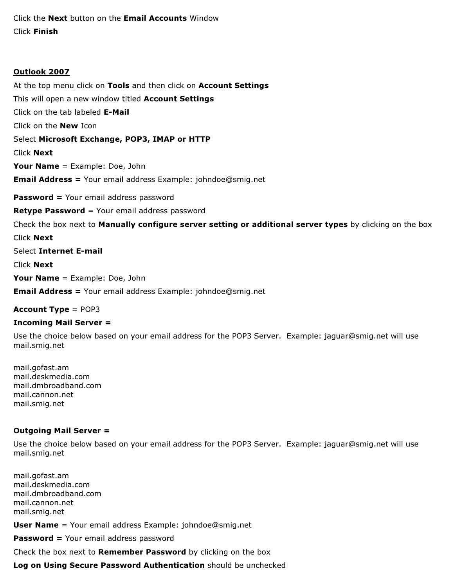Click the Next button on the Email Accounts Window Click Finish

## Outlook 2007

At the top menu click on Tools and then click on Account Settings This will open a new window titled **Account Settings** Click on the tab labeled E-Mail Click on the New Icon Select Microsoft Exchange, POP3, IMAP or HTTP Click Next Your Name = Example: Doe, John Email Address = Your email address Example: johndoe@smig.net **Password = Your email address password Retype Password** = Your email address password Check the box next to Manually configure server setting or additional server types by clicking on the box Click Next Select Internet E-mail Click Next Your Name = Example: Doe, John

Email Address = Your email address Example: johndoe@smig.net

Account Type = POP3

## Incoming Mail Server =

Use the choice below based on your email address for the POP3 Server. Example: jaguar@smig.net will use mail.smig.net

mail.gofast.am mail.deskmedia.com mail.dmbroadband.com mail.cannon.net mail.smig.net

## Outgoing Mail Server =

Use the choice below based on your email address for the POP3 Server. Example: jaguar@smig.net will use mail.smig.net

mail.gofast.am mail.deskmedia.com mail.dmbroadband.com mail.cannon.net mail.smig.net

User Name = Your email address Example: johndoe@smig.net

Password = Your email address password

Check the box next to **Remember Password** by clicking on the box

Log on Using Secure Password Authentication should be unchecked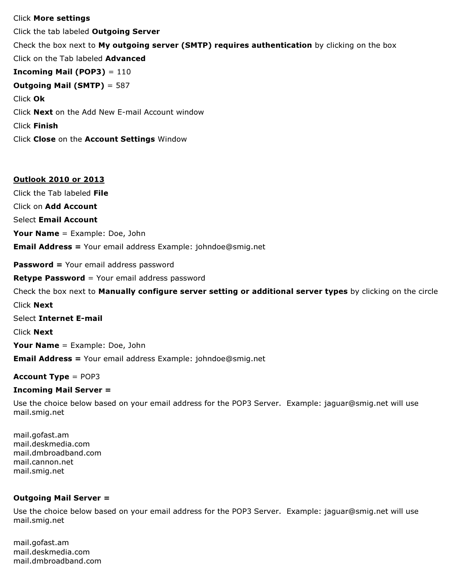#### Click More settings

Click the tab labeled Outgoing Server Check the box next to My outgoing server (SMTP) requires authentication by clicking on the box Click on the Tab labeled **Advanced Incoming Mail (POP3)**  $= 110$ Outgoing Mail (SMTP) = 587 Click Ok Click Next on the Add New E-mail Account window Click Finish Click Close on the Account Settings Window

## Outlook 2010 or 2013

Click the Tab labeled File

Click on Add Account

Select Email Account

Your Name = Example: Doe, John

Email Address = Your email address Example: johndoe@smig.net

Password = Your email address password

**Retype Password** = Your email address password

Check the box next to **Manually configure server setting or additional server types** by clicking on the circle Click Next

Select Internet E-mail

Click Next

Your Name = Example: Doe, John

Email Address = Your email address Example: johndoe@smig.net

#### Account Type = POP3

#### Incoming Mail Server =

Use the choice below based on your email address for the POP3 Server. Example: jaguar@smig.net will use mail.smig.net

mail.gofast.am mail.deskmedia.com mail.dmbroadband.com mail.cannon.net mail.smig.net

## Outgoing Mail Server =

Use the choice below based on your email address for the POP3 Server. Example: jaguar@smig.net will use mail.smig.net

mail.gofast.am mail.deskmedia.com mail.dmbroadband.com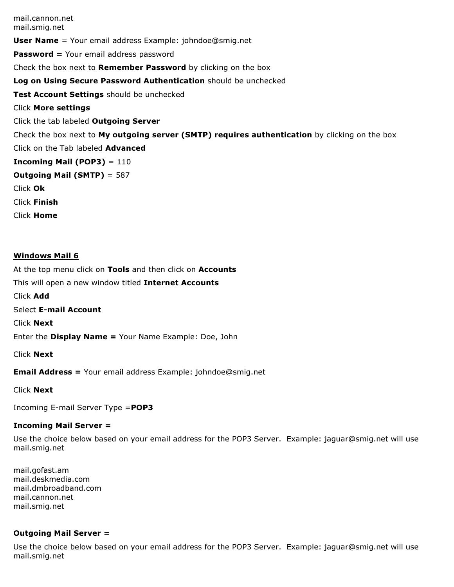mail.cannon.net mail.smig.net **User Name** = Your email address Example: johndoe@smig.net Password = Your email address password Check the box next to Remember Password by clicking on the box Log on Using Secure Password Authentication should be unchecked Test Account Settings should be unchecked Click More settings Click the tab labeled Outgoing Server Check the box next to My outgoing server (SMTP) requires authentication by clicking on the box Click on the Tab labeled Advanced **Incoming Mail (POP3)**  $= 110$ Outgoing Mail (SMTP) = 587 Click Ok Click Finish Click Home

#### Windows Mail 6

At the top menu click on Tools and then click on Accounts This will open a new window titled Internet Accounts Click Add Select E-mail Account Click Next Enter the Display Name = Your Name Example: Doe, John Click Next Email Address = Your email address Example: johndoe@smig.net

Click Next

Incoming E-mail Server Type =POP3

#### Incoming Mail Server =

Use the choice below based on your email address for the POP3 Server. Example: jaguar@smig.net will use mail.smig.net

mail.gofast.am mail.deskmedia.com mail.dmbroadband.com mail.cannon.net mail.smig.net

#### Outgoing Mail Server =

Use the choice below based on your email address for the POP3 Server. Example: jaguar@smig.net will use mail.smig.net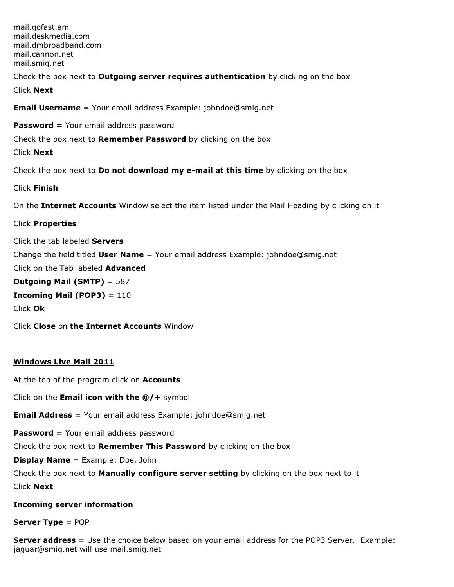mail.gofast.am mail.deskmedia.com mail.dmbroadband.com mail.cannon.net mail.smig.net

Check the box next to **Outgoing server requires authentication** by clicking on the box Click Next

Email Username = Your email address Example: johndoe@smig.net

Password = Your email address password

Check the box next to **Remember Password** by clicking on the box

Click Next

Check the box next to Do not download my e-mail at this time by clicking on the box

Click Finish

On the Internet Accounts Window select the item listed under the Mail Heading by clicking on it

Click Properties

Click the tab labeled Servers Change the field titled **User Name** = Your email address Example: johndoe@smig.net Click on the Tab labeled **Advanced** Outgoing Mail (SMTP) = 587 **Incoming Mail (POP3)** =  $110$ Click Ok Click Close on the Internet Accounts Window

## Windows Live Mail 2011

At the top of the program click on **Accounts** 

Click on the **Email icon with the**  $@/+$  symbol

Email Address = Your email address Example: johndoe@smig.net

Password = Your email address password

Check the box next to Remember This Password by clicking on the box

Display Name = Example: Doe, John

Check the box next to Manually configure server setting by clicking on the box next to it

Click Next

## Incoming server information

#### Server Type = POP

**Server address** = Use the choice below based on your email address for the POP3 Server. Example: jaguar@smig.net will use mail.smig.net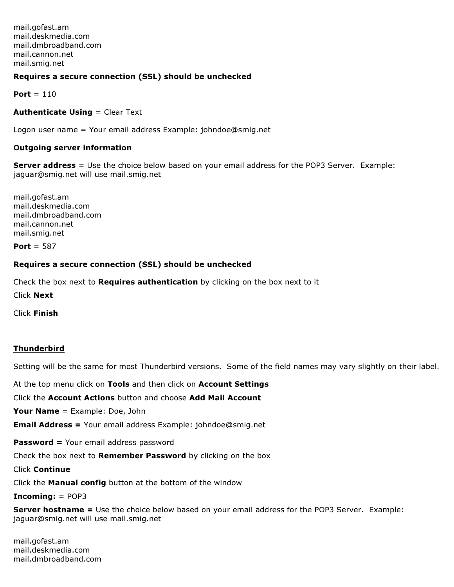mail.gofast.am mail.deskmedia.com mail.dmbroadband.com mail.cannon.net mail.smig.net

## Requires a secure connection (SSL) should be unchecked

Port  $= 110$ 

**Authenticate Using = Clear Text** 

Logon user name = Your email address Example: johndoe@smig.net

#### Outgoing server information

Server address = Use the choice below based on your email address for the POP3 Server. Example: jaguar@smig.net will use mail.smig.net

mail.gofast.am mail.deskmedia.com mail.dmbroadband.com mail.cannon.net mail.smig.net

Port  $= 587$ 

#### Requires a secure connection (SSL) should be unchecked

Check the box next to **Requires authentication** by clicking on the box next to it

Click Next

Click Finish

## Thunderbird

Setting will be the same for most Thunderbird versions. Some of the field names may vary slightly on their label.

At the top menu click on Tools and then click on Account Settings

Click the Account Actions button and choose Add Mail Account

Your Name = Example: Doe, John

Email Address = Your email address Example: johndoe@smig.net

Password = Your email address password

Check the box next to Remember Password by clicking on the box

Click Continue

Click the Manual config button at the bottom of the window

Incoming: = POP3

Server hostname = Use the choice below based on your email address for the POP3 Server. Example: jaguar@smig.net will use mail.smig.net

mail.gofast.am mail.deskmedia.com mail.dmbroadband.com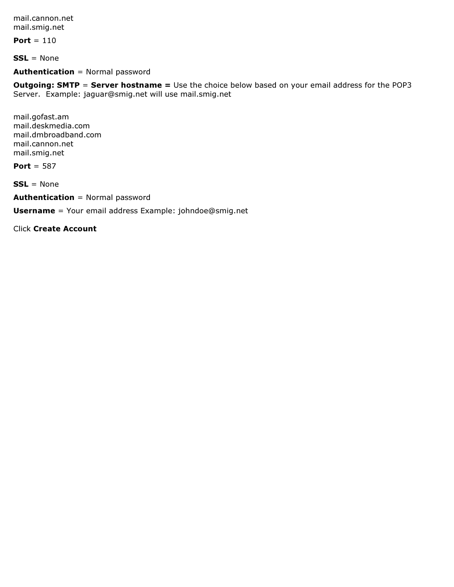mail.cannon.net mail.smig.net

Port  $= 110$ 

 $SSL = None$ 

## Authentication = Normal password

**Outgoing: SMTP = Server hostname =** Use the choice below based on your email address for the POP3 Server. Example: jaguar@smig.net will use mail.smig.net

mail.gofast.am mail.deskmedia.com mail.dmbroadband.com mail.cannon.net mail.smig.net

Port = 587

 $SSL = None$ 

Authentication = Normal password

Username = Your email address Example: johndoe@smig.net

Click Create Account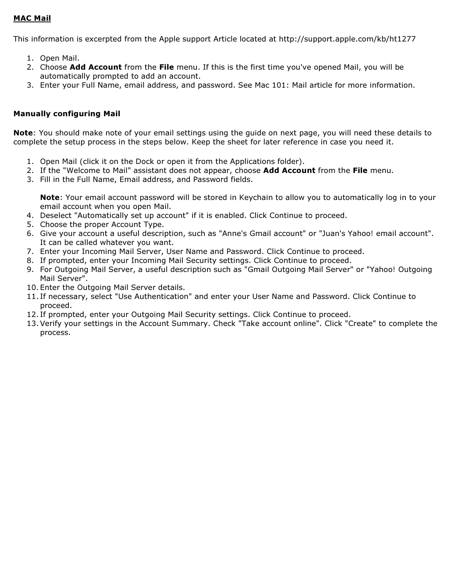# MAC Mail

This information is excerpted from the Apple support Article located at http://support.apple.com/kb/ht1277

- 1. Open Mail.
- 2. Choose Add Account from the File menu. If this is the first time you've opened Mail, you will be automatically prompted to add an account.
- 3. Enter your Full Name, email address, and password. See Mac 101: Mail article for more information.

## Manually configuring Mail

Note: You should make note of your email settings using the guide on next page, you will need these details to complete the setup process in the steps below. Keep the sheet for later reference in case you need it.

- 1. Open Mail (click it on the Dock or open it from the Applications folder).
- 2. If the "Welcome to Mail" assistant does not appear, choose Add Account from the File menu.
- 3. Fill in the Full Name, Email address, and Password fields.

Note: Your email account password will be stored in Keychain to allow you to automatically log in to your email account when you open Mail.

- 4. Deselect "Automatically set up account" if it is enabled. Click Continue to proceed.
- 5. Choose the proper Account Type.
- 6. Give your account a useful description, such as "Anne's Gmail account" or "Juan's Yahoo! email account". It can be called whatever you want.
- 7. Enter your Incoming Mail Server, User Name and Password. Click Continue to proceed.
- 8. If prompted, enter your Incoming Mail Security settings. Click Continue to proceed.
- 9. For Outgoing Mail Server, a useful description such as "Gmail Outgoing Mail Server" or "Yahoo! Outgoing Mail Server".
- 10. Enter the Outgoing Mail Server details.
- 11. If necessary, select "Use Authentication" and enter your User Name and Password. Click Continue to proceed.
- 12. If prompted, enter your Outgoing Mail Security settings. Click Continue to proceed.
- 13.Verify your settings in the Account Summary. Check "Take account online". Click "Create" to complete the process.